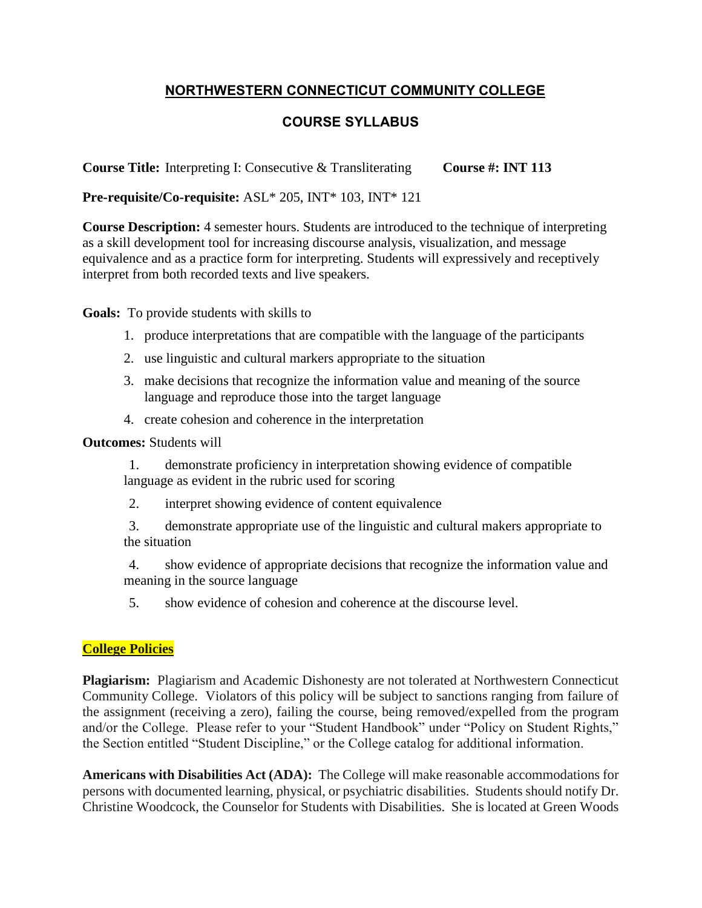# **NORTHWESTERN CONNECTICUT COMMUNITY COLLEGE**

## **COURSE SYLLABUS**

**Course Title:** Interpreting I: Consecutive & Transliterating Course #: **INT 113** 

**Pre-requisite/Co-requisite:** ASL\* 205, INT\* 103, INT\* 121

**Course Description:** 4 semester hours. Students are introduced to the technique of interpreting as a skill development tool for increasing discourse analysis, visualization, and message equivalence and as a practice form for interpreting. Students will expressively and receptively interpret from both recorded texts and live speakers.

**Goals:** To provide students with skills to

- 1. produce interpretations that are compatible with the language of the participants
- 2. use linguistic and cultural markers appropriate to the situation
- 3. make decisions that recognize the information value and meaning of the source language and reproduce those into the target language
- 4. create cohesion and coherence in the interpretation

#### **Outcomes:** Students will

- 1. demonstrate proficiency in interpretation showing evidence of compatible language as evident in the rubric used for scoring
- 2. interpret showing evidence of content equivalence
- 3. demonstrate appropriate use of the linguistic and cultural makers appropriate to the situation
- 4. show evidence of appropriate decisions that recognize the information value and meaning in the source language
- 5. show evidence of cohesion and coherence at the discourse level.

### **College Policies**

**Plagiarism:** Plagiarism and Academic Dishonesty are not tolerated at Northwestern Connecticut Community College. Violators of this policy will be subject to sanctions ranging from failure of the assignment (receiving a zero), failing the course, being removed/expelled from the program and/or the College. Please refer to your "Student Handbook" under "Policy on Student Rights," the Section entitled "Student Discipline," or the College catalog for additional information.

**Americans with Disabilities Act (ADA):** The College will make reasonable accommodations for persons with documented learning, physical, or psychiatric disabilities. Students should notify Dr. Christine Woodcock, the Counselor for Students with Disabilities. She is located at Green Woods